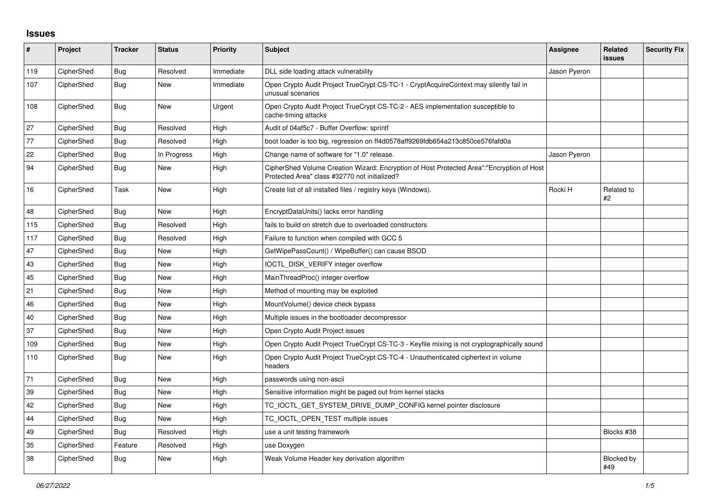## **Issues**

| #   | Project    | <b>Tracker</b> | <b>Status</b> | <b>Priority</b> | <b>Subject</b>                                                                                                                             | Assignee     | Related<br><b>issues</b> | <b>Security Fix</b> |
|-----|------------|----------------|---------------|-----------------|--------------------------------------------------------------------------------------------------------------------------------------------|--------------|--------------------------|---------------------|
| 119 | CipherShed | <b>Bug</b>     | Resolved      | Immediate       | DLL side loading attack vulnerability                                                                                                      | Jason Pyeron |                          |                     |
| 107 | CipherShed | <b>Bug</b>     | <b>New</b>    | Immediate       | Open Crypto Audit Project TrueCrypt CS-TC-1 - CryptAcquireContext may silently fail in<br>unusual scenarios                                |              |                          |                     |
| 108 | CipherShed | <b>Bug</b>     | <b>New</b>    | Urgent          | Open Crypto Audit Project TrueCrypt CS-TC-2 - AES implementation susceptible to<br>cache-timing attacks                                    |              |                          |                     |
| 27  | CipherShed | Bug            | Resolved      | High            | Audit of 04af5c7 - Buffer Overflow: sprintf                                                                                                |              |                          |                     |
| 77  | CipherShed | Bug            | Resolved      | High            | boot loader is too big, regression on ff4d0578aff9269fdb654a213c850ce576fafd0a                                                             |              |                          |                     |
| 22  | CipherShed | Bug            | In Progress   | High            | Change name of software for "1.0" release.                                                                                                 | Jason Pyeron |                          |                     |
| 94  | CipherShed | Bug            | New           | High            | CipherShed Volume Creation Wizard: Encryption of Host Protected Area":"Encryption of Host<br>Protected Area" class #32770 not initialized? |              |                          |                     |
| 16  | CipherShed | Task           | <b>New</b>    | High            | Create list of all installed files / registry keys (Windows).                                                                              | Rocki H      | Related to<br>#2         |                     |
| 48  | CipherShed | <b>Bug</b>     | <b>New</b>    | High            | EncryptDataUnits() lacks error handling                                                                                                    |              |                          |                     |
| 115 | CipherShed | <b>Bug</b>     | Resolved      | High            | fails to build on stretch due to overloaded constructors                                                                                   |              |                          |                     |
| 117 | CipherShed | Bug            | Resolved      | High            | Failure to function when compiled with GCC 5                                                                                               |              |                          |                     |
| 47  | CipherShed | <b>Bug</b>     | <b>New</b>    | High            | GetWipePassCount() / WipeBuffer() can cause BSOD                                                                                           |              |                          |                     |
| 43  | CipherShed | Bug            | <b>New</b>    | High            | IOCTL_DISK_VERIFY integer overflow                                                                                                         |              |                          |                     |
| 45  | CipherShed | Bug            | New           | High            | MainThreadProc() integer overflow                                                                                                          |              |                          |                     |
| 21  | CipherShed | Bug            | New           | High            | Method of mounting may be exploited                                                                                                        |              |                          |                     |
| 46  | CipherShed | Bug            | <b>New</b>    | High            | MountVolume() device check bypass                                                                                                          |              |                          |                     |
| 40  | CipherShed | Bug            | <b>New</b>    | High            | Multiple issues in the bootloader decompressor                                                                                             |              |                          |                     |
| 37  | CipherShed | Bug            | <b>New</b>    | High            | Open Crypto Audit Project issues                                                                                                           |              |                          |                     |
| 109 | CipherShed | <b>Bug</b>     | <b>New</b>    | High            | Open Crypto Audit Project TrueCrypt CS-TC-3 - Keyfile mixing is not cryptographically sound                                                |              |                          |                     |
| 110 | CipherShed | Bug            | <b>New</b>    | High            | Open Crypto Audit Project TrueCrypt CS-TC-4 - Unauthenticated ciphertext in volume<br>headers                                              |              |                          |                     |
| 71  | CipherShed | <b>Bug</b>     | <b>New</b>    | High            | passwords using non-ascii                                                                                                                  |              |                          |                     |
| 39  | CipherShed | <b>Bug</b>     | <b>New</b>    | High            | Sensitive information might be paged out from kernel stacks                                                                                |              |                          |                     |
| 42  | CipherShed | <b>Bug</b>     | <b>New</b>    | High            | TC_IOCTL_GET_SYSTEM_DRIVE_DUMP_CONFIG kernel pointer disclosure                                                                            |              |                          |                     |
| 44  | CipherShed | Bug            | <b>New</b>    | High            | TC_IOCTL_OPEN_TEST multiple issues                                                                                                         |              |                          |                     |
| 49  | CipherShed | Bug            | Resolved      | High            | use a unit testing framework                                                                                                               |              | Blocks #38               |                     |
| 35  | CipherShed | Feature        | Resolved      | High            | use Doxygen                                                                                                                                |              |                          |                     |
| 38  | CipherShed | Bug            | <b>New</b>    | High            | Weak Volume Header key derivation algorithm                                                                                                |              | <b>Blocked by</b><br>#49 |                     |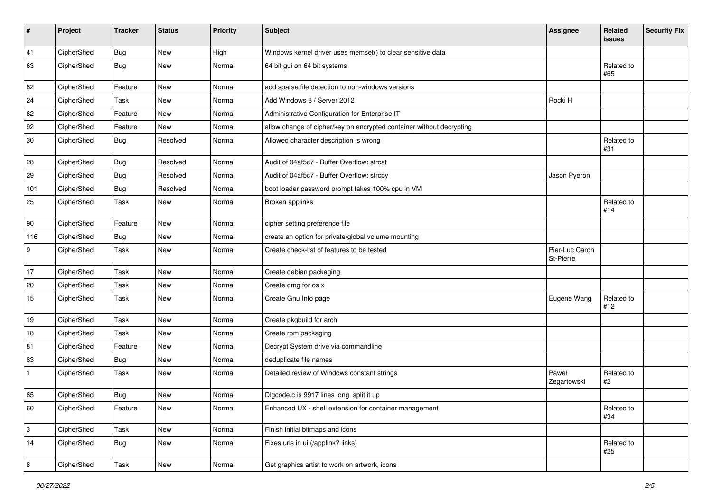| #            | Project    | <b>Tracker</b> | <b>Status</b> | <b>Priority</b> | <b>Subject</b>                                                       | <b>Assignee</b>             | Related<br>issues | <b>Security Fix</b> |
|--------------|------------|----------------|---------------|-----------------|----------------------------------------------------------------------|-----------------------------|-------------------|---------------------|
| 41           | CipherShed | <b>Bug</b>     | New           | High            | Windows kernel driver uses memset() to clear sensitive data          |                             |                   |                     |
| 63           | CipherShed | Bug            | New           | Normal          | 64 bit gui on 64 bit systems                                         |                             | Related to<br>#65 |                     |
| 82           | CipherShed | Feature        | New           | Normal          | add sparse file detection to non-windows versions                    |                             |                   |                     |
| 24           | CipherShed | Task           | <b>New</b>    | Normal          | Add Windows 8 / Server 2012                                          | Rocki H                     |                   |                     |
| 62           | CipherShed | Feature        | <b>New</b>    | Normal          | Administrative Configuration for Enterprise IT                       |                             |                   |                     |
| 92           | CipherShed | Feature        | New           | Normal          | allow change of cipher/key on encrypted container without decrypting |                             |                   |                     |
| 30           | CipherShed | <b>Bug</b>     | Resolved      | Normal          | Allowed character description is wrong                               |                             | Related to<br>#31 |                     |
| 28           | CipherShed | Bug            | Resolved      | Normal          | Audit of 04af5c7 - Buffer Overflow: strcat                           |                             |                   |                     |
| 29           | CipherShed | Bug            | Resolved      | Normal          | Audit of 04af5c7 - Buffer Overflow: strcpy                           | Jason Pyeron                |                   |                     |
| 101          | CipherShed | <b>Bug</b>     | Resolved      | Normal          | boot loader password prompt takes 100% cpu in VM                     |                             |                   |                     |
| 25           | CipherShed | Task           | New           | Normal          | Broken applinks                                                      |                             | Related to<br>#14 |                     |
| 90           | CipherShed | Feature        | New           | Normal          | cipher setting preference file                                       |                             |                   |                     |
| 116          | CipherShed | <b>Bug</b>     | New           | Normal          | create an option for private/global volume mounting                  |                             |                   |                     |
| 9            | CipherShed | Task           | New           | Normal          | Create check-list of features to be tested                           | Pier-Luc Caron<br>St-Pierre |                   |                     |
| 17           | CipherShed | Task           | <b>New</b>    | Normal          | Create debian packaging                                              |                             |                   |                     |
| 20           | CipherShed | Task           | <b>New</b>    | Normal          | Create dmg for os x                                                  |                             |                   |                     |
| 15           | CipherShed | Task           | New           | Normal          | Create Gnu Info page                                                 | Eugene Wang                 | Related to<br>#12 |                     |
| 19           | CipherShed | Task           | New           | Normal          | Create pkgbuild for arch                                             |                             |                   |                     |
| 18           | CipherShed | Task           | <b>New</b>    | Normal          | Create rpm packaging                                                 |                             |                   |                     |
| 81           | CipherShed | Feature        | <b>New</b>    | Normal          | Decrypt System drive via commandline                                 |                             |                   |                     |
| 83           | CipherShed | <b>Bug</b>     | New           | Normal          | deduplicate file names                                               |                             |                   |                     |
| $\mathbf{1}$ | CipherShed | Task           | <b>New</b>    | Normal          | Detailed review of Windows constant strings                          | Paweł<br>Zegartowski        | Related to<br>#2  |                     |
| 85           | CipherShed | <b>Bug</b>     | New           | Normal          | Digcode.c is 9917 lines long, split it up                            |                             |                   |                     |
| 60           | CipherShed | Feature        | New           | Normal          | Enhanced UX - shell extension for container management               |                             | Related to<br>#34 |                     |
| 3            | CipherShed | Task           | New           | Normal          | Finish initial bitmaps and icons                                     |                             |                   |                     |
| 14           | CipherShed | <b>Bug</b>     | New           | Normal          | Fixes urls in ui (/applink? links)                                   |                             | Related to<br>#25 |                     |
| 8            | CipherShed | Task           | New           | Normal          | Get graphics artist to work on artwork, icons                        |                             |                   |                     |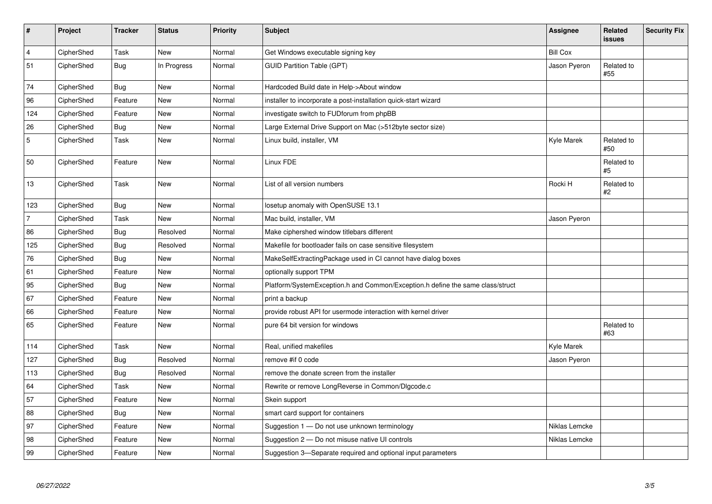| $\sharp$       | Project    | <b>Tracker</b> | <b>Status</b> | <b>Priority</b> | <b>Subject</b>                                                                 | Assignee        | Related<br>issues | <b>Security Fix</b> |
|----------------|------------|----------------|---------------|-----------------|--------------------------------------------------------------------------------|-----------------|-------------------|---------------------|
| $\overline{4}$ | CipherShed | Task           | <b>New</b>    | Normal          | Get Windows executable signing key                                             | <b>Bill Cox</b> |                   |                     |
| 51             | CipherShed | <b>Bug</b>     | In Progress   | Normal          | <b>GUID Partition Table (GPT)</b>                                              | Jason Pyeron    | Related to<br>#55 |                     |
| 74             | CipherShed | <b>Bug</b>     | <b>New</b>    | Normal          | Hardcoded Build date in Help->About window                                     |                 |                   |                     |
| 96             | CipherShed | Feature        | New           | Normal          | installer to incorporate a post-installation quick-start wizard                |                 |                   |                     |
| 124            | CipherShed | Feature        | <b>New</b>    | Normal          | investigate switch to FUDforum from phpBB                                      |                 |                   |                     |
| 26             | CipherShed | <b>Bug</b>     | New           | Normal          | Large External Drive Support on Mac (>512byte sector size)                     |                 |                   |                     |
| 5              | CipherShed | Task           | <b>New</b>    | Normal          | Linux build, installer, VM                                                     | Kyle Marek      | Related to<br>#50 |                     |
| 50             | CipherShed | Feature        | New           | Normal          | Linux FDE                                                                      |                 | Related to<br>#5  |                     |
| 13             | CipherShed | Task           | <b>New</b>    | Normal          | List of all version numbers                                                    | Rocki H         | Related to<br>#2  |                     |
| 123            | CipherShed | <b>Bug</b>     | New           | Normal          | losetup anomaly with OpenSUSE 13.1                                             |                 |                   |                     |
| $\overline{7}$ | CipherShed | Task           | <b>New</b>    | Normal          | Mac build, installer, VM                                                       | Jason Pyeron    |                   |                     |
| 86             | CipherShed | Bug            | Resolved      | Normal          | Make ciphershed window titlebars different                                     |                 |                   |                     |
| 125            | CipherShed | <b>Bug</b>     | Resolved      | Normal          | Makefile for bootloader fails on case sensitive filesystem                     |                 |                   |                     |
| 76             | CipherShed | <b>Bug</b>     | <b>New</b>    | Normal          | MakeSelfExtractingPackage used in CI cannot have dialog boxes                  |                 |                   |                     |
| 61             | CipherShed | Feature        | New           | Normal          | optionally support TPM                                                         |                 |                   |                     |
| 95             | CipherShed | <b>Bug</b>     | <b>New</b>    | Normal          | Platform/SystemException.h and Common/Exception.h define the same class/struct |                 |                   |                     |
| 67             | CipherShed | Feature        | New           | Normal          | print a backup                                                                 |                 |                   |                     |
| 66             | CipherShed | Feature        | <b>New</b>    | Normal          | provide robust API for usermode interaction with kernel driver                 |                 |                   |                     |
| 65             | CipherShed | Feature        | <b>New</b>    | Normal          | pure 64 bit version for windows                                                |                 | Related to<br>#63 |                     |
| 114            | CipherShed | Task           | <b>New</b>    | Normal          | Real, unified makefiles                                                        | Kyle Marek      |                   |                     |
| 127            | CipherShed | <b>Bug</b>     | Resolved      | Normal          | remove #if 0 code                                                              | Jason Pyeron    |                   |                     |
| 113            | CipherShed | <b>Bug</b>     | Resolved      | Normal          | remove the donate screen from the installer                                    |                 |                   |                     |
| 64             | CipherShed | Task           | <b>New</b>    | Normal          | Rewrite or remove LongReverse in Common/Dlgcode.c                              |                 |                   |                     |
| 57             | CipherShed | Feature        | <b>New</b>    | Normal          | Skein support                                                                  |                 |                   |                     |
| 88             | CipherShed | <b>Bug</b>     | <b>New</b>    | Normal          | smart card support for containers                                              |                 |                   |                     |
| 97             | CipherShed | Feature        | <b>New</b>    | Normal          | Suggestion 1 - Do not use unknown terminology                                  | Niklas Lemcke   |                   |                     |
| 98             | CipherShed | Feature        | New           | Normal          | Suggestion 2 - Do not misuse native UI controls                                | Niklas Lemcke   |                   |                     |
| 99             | CipherShed | Feature        | <b>New</b>    | Normal          | Suggestion 3-Separate required and optional input parameters                   |                 |                   |                     |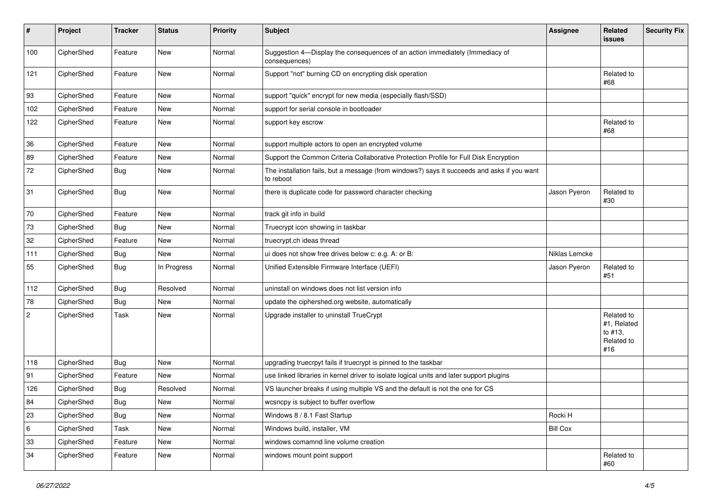| #                | Project    | <b>Tracker</b> | <b>Status</b> | <b>Priority</b> | <b>Subject</b>                                                                                           | <b>Assignee</b> | <b>Related</b><br><b>issues</b>                           | <b>Security Fix</b> |
|------------------|------------|----------------|---------------|-----------------|----------------------------------------------------------------------------------------------------------|-----------------|-----------------------------------------------------------|---------------------|
| 100              | CipherShed | Feature        | New           | Normal          | Suggestion 4-Display the consequences of an action immediately (Immediacy of<br>consequences)            |                 |                                                           |                     |
| 121              | CipherShed | Feature        | New           | Normal          | Support "not" burning CD on encrypting disk operation                                                    |                 | Related to<br>#68                                         |                     |
| 93               | CipherShed | Feature        | New           | Normal          | support "quick" encrypt for new media (especially flash/SSD)                                             |                 |                                                           |                     |
| 102              | CipherShed | Feature        | New           | Normal          | support for serial console in bootloader                                                                 |                 |                                                           |                     |
| 122              | CipherShed | Feature        | New           | Normal          | support key escrow                                                                                       |                 | Related to<br>#68                                         |                     |
| 36               | CipherShed | Feature        | New           | Normal          | support multiple actors to open an encrypted volume                                                      |                 |                                                           |                     |
| 89               | CipherShed | Feature        | New           | Normal          | Support the Common Criteria Collaborative Protection Profile for Full Disk Encryption                    |                 |                                                           |                     |
| 72               | CipherShed | <b>Bug</b>     | New           | Normal          | The installation fails, but a message (from windows?) says it succeeds and asks if you want<br>to reboot |                 |                                                           |                     |
| 31               | CipherShed | <b>Bug</b>     | New           | Normal          | there is duplicate code for password character checking                                                  | Jason Pyeron    | Related to<br>#30                                         |                     |
| 70               | CipherShed | Feature        | New           | Normal          | track git info in build                                                                                  |                 |                                                           |                     |
| 73               | CipherShed | <b>Bug</b>     | New           | Normal          | Truecrypt icon showing in taskbar                                                                        |                 |                                                           |                     |
| 32               | CipherShed | Feature        | New           | Normal          | truecrypt.ch ideas thread                                                                                |                 |                                                           |                     |
| 111              | CipherShed | <b>Bug</b>     | New           | Normal          | ui does not show free drives below c: e.g. A: or B:                                                      | Niklas Lemcke   |                                                           |                     |
| 55               | CipherShed | Bug            | In Progress   | Normal          | Unified Extensible Firmware Interface (UEFI)                                                             | Jason Pyeron    | Related to<br>#51                                         |                     |
| 112              | CipherShed | <b>Bug</b>     | Resolved      | Normal          | uninstall on windows does not list version info                                                          |                 |                                                           |                     |
| 78               | CipherShed | <b>Bug</b>     | New           | Normal          | update the ciphershed.org website, automatically                                                         |                 |                                                           |                     |
| $\boldsymbol{2}$ | CipherShed | Task           | New           | Normal          | Upgrade installer to uninstall TrueCrypt                                                                 |                 | Related to<br>#1, Related<br>to #13,<br>Related to<br>#16 |                     |
| 118              | CipherShed | <b>Bug</b>     | <b>New</b>    | Normal          | upgrading truecrpyt fails if truecrypt is pinned to the taskbar                                          |                 |                                                           |                     |
| 91               | CipherShed | Feature        | New           | Normal          | use linked libraries in kernel driver to isolate logical units and later support plugins                 |                 |                                                           |                     |
| 126              | CipherShed | Bug            | Resolved      | Normal          | VS launcher breaks if using multiple VS and the default is not the one for CS                            |                 |                                                           |                     |
| 84               | CipherShed | Bug            | New           | Normal          | wcsncpy is subject to buffer overflow                                                                    |                 |                                                           |                     |
| 23               | CipherShed | <b>Bug</b>     | New           | Normal          | Windows 8 / 8.1 Fast Startup                                                                             | Rocki H         |                                                           |                     |
| $\,6\,$          | CipherShed | Task           | New           | Normal          | Windows build, installer, VM                                                                             | <b>Bill Cox</b> |                                                           |                     |
| 33               | CipherShed | Feature        | New           | Normal          | windows comamnd line volume creation                                                                     |                 |                                                           |                     |
| 34               | CipherShed | Feature        | New           | Normal          | windows mount point support                                                                              |                 | Related to<br>#60                                         |                     |